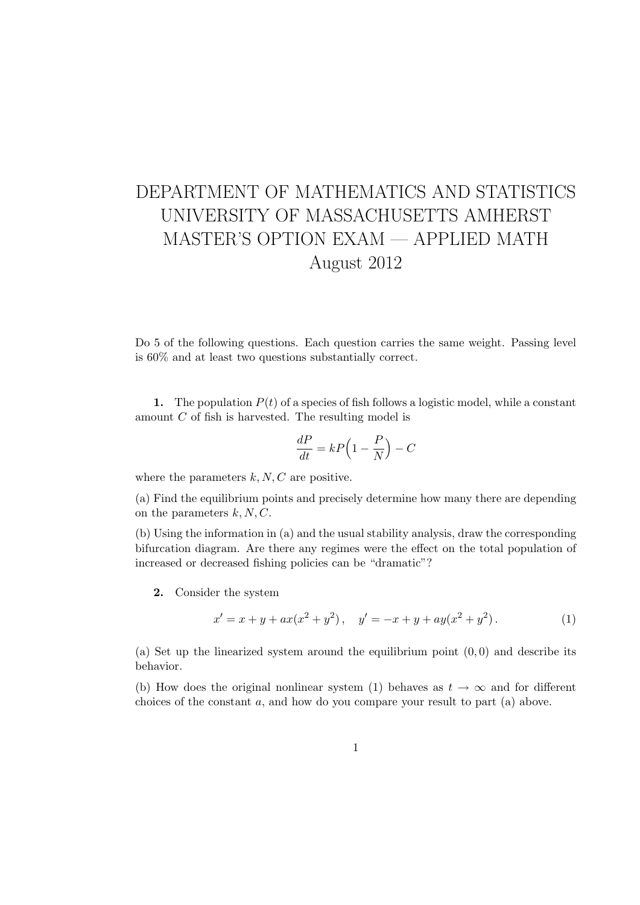## DEPARTMENT OF MATHEMATICS AND STATISTICS UNIVERSITY OF MASSACHUSETTS AMHERST MASTER'S OPTION EXAM — APPLIED MATH August 2012

Do 5 of the following questions. Each question carries the same weight. Passing level is 60% and at least two questions substantially correct.

1. The population  $P(t)$  of a species of fish follows a logistic model, while a constant amount C of fish is harvested. The resulting model is

$$
\frac{dP}{dt} = kP\left(1 - \frac{P}{N}\right) - C
$$

where the parameters  $k, N, C$  are positive.

(a) Find the equilibrium points and precisely determine how many there are depending on the parameters  $k, N, C$ .

(b) Using the information in (a) and the usual stability analysis, draw the corresponding bifurcation diagram. Are there any regimes were the effect on the total population of increased or decreased fishing policies can be "dramatic"?

2. Consider the system

$$
x' = x + y + ax(x^{2} + y^{2}), \quad y' = -x + y + ay(x^{2} + y^{2}).
$$
 (1)

(a) Set up the linearized system around the equilibrium point  $(0, 0)$  and describe its behavior.

(b) How does the original nonlinear system (1) behaves as  $t \to \infty$  and for different choices of the constant a, and how do you compare your result to part (a) above.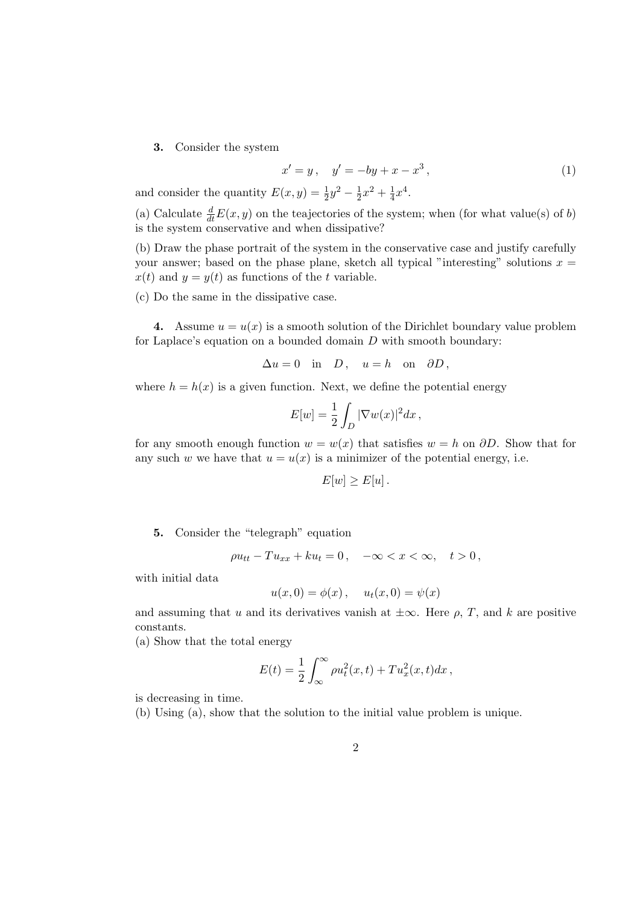3. Consider the system

$$
x' = y, \quad y' = -by + x - x^3,
$$
 (1)

and consider the quantity  $E(x, y) = \frac{1}{2}y^2 - \frac{1}{2}$  $\frac{1}{2}x^2 + \frac{1}{4}$  $\frac{1}{4}x^4$ .

(a) Calculate  $\frac{d}{dt}E(x, y)$  on the teajectories of the system; when (for what value(s) of b) is the system conservative and when dissipative?

(b) Draw the phase portrait of the system in the conservative case and justify carefully your answer; based on the phase plane, sketch all typical "interesting" solutions  $x =$  $x(t)$  and  $y = y(t)$  as functions of the t variable.

(c) Do the same in the dissipative case.

4. Assume  $u = u(x)$  is a smooth solution of the Dirichlet boundary value problem for Laplace's equation on a bounded domain D with smooth boundary:

$$
\Delta u = 0 \quad \text{in} \quad D \,, \quad u = h \quad \text{on} \quad \partial D \,,
$$

where  $h = h(x)$  is a given function. Next, we define the potential energy

$$
E[w] = \frac{1}{2} \int_D |\nabla w(x)|^2 dx,
$$

for any smooth enough function  $w = w(x)$  that satisfies  $w = h$  on  $\partial D$ . Show that for any such w we have that  $u = u(x)$  is a minimizer of the potential energy, i.e.

$$
E[w] \ge E[u].
$$

5. Consider the "telegraph" equation

$$
\rho u_{tt} - T u_{xx} + k u_t = 0, \quad -\infty < x < \infty, \quad t > 0
$$

with initial data

$$
u(x, 0) = \phi(x), \quad u_t(x, 0) = \psi(x)
$$

and assuming that u and its derivatives vanish at  $\pm \infty$ . Here  $\rho$ , T, and k are positive constants.

(a) Show that the total energy

$$
E(t) = \frac{1}{2} \int_{\infty}^{\infty} \rho u_t^2(x, t) + Tu_x^2(x, t) dx,
$$

is decreasing in time.

(b) Using (a), show that the solution to the initial value problem is unique.